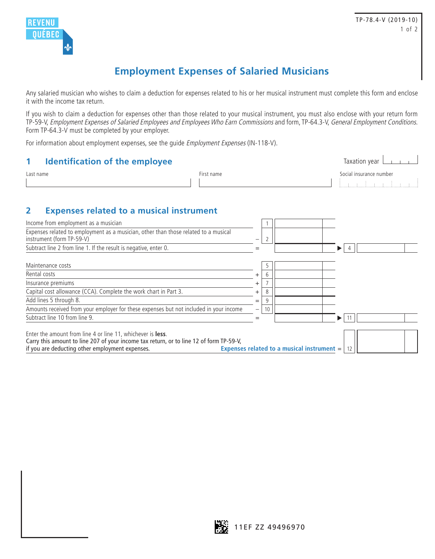

## **Employment Expenses of Salaried Musicians**

Any salaried musician who wishes to claim a deduction for expenses related to his or her musical instrument must complete this form and enclose it with the income tax return.

If you wish to claim a deduction for expenses other than those related to your musical instrument, you must also enclose with your return form TP-59-V, Employment Expenses of Salaried Employees and Employees Who Earn Commissions and form, TP-64.3-V, General Employment Conditions. Form TP-64.3-V must be completed by your employer.

For information about employment expenses, see the guide Employment Expenses (IN-118-V).

|           | <b>Identification of the employee</b> |                         |  |  |  |
|-----------|---------------------------------------|-------------------------|--|--|--|
| Last name | First name                            | Social insurance number |  |  |  |
|           |                                       |                         |  |  |  |

## **2 Expenses related to a musical instrument**

| Income from employment as a musician                                                                                                                                                                              |       |    |                                            |   |  |
|-------------------------------------------------------------------------------------------------------------------------------------------------------------------------------------------------------------------|-------|----|--------------------------------------------|---|--|
| Expenses related to employment as a musician, other than those related to a musical<br>instrument (form TP-59-V)                                                                                                  | —     |    |                                            |   |  |
| Subtract line 2 from line 1. If the result is negative, enter 0.                                                                                                                                                  |       |    |                                            |   |  |
| Maintenance costs                                                                                                                                                                                                 |       | .5 |                                            |   |  |
| Rental costs                                                                                                                                                                                                      |       | 6  |                                            |   |  |
| Insurance premiums                                                                                                                                                                                                | +     |    |                                            |   |  |
| Capital cost allowance (CCA). Complete the work chart in Part 3.                                                                                                                                                  | $\pm$ | 8  |                                            |   |  |
| Add lines 5 through 8.                                                                                                                                                                                            | $=$   | 9  |                                            |   |  |
| Amounts received from your employer for these expenses but not included in your income                                                                                                                            |       | 10 |                                            |   |  |
| Subtract line 10 from line 9.                                                                                                                                                                                     |       |    |                                            | ▶ |  |
| Enter the amount from line 4 or line 11, whichever is <b>less</b> .<br>Carry this amount to line 207 of your income tax return, or to line 12 of form TP-59-V,<br>if you are deducting other employment expenses. |       |    | Expenses related to a musical instrument = |   |  |